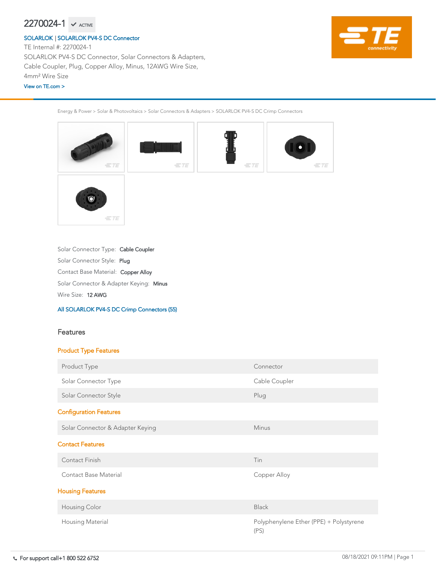Solar Connector Style: Plug Solar Connector Type: Cable Coupler

Energy & Power > Solar & Photovoltaics > Solar Connectors & Adapters > SOLARLOK PV4-S DC Crimp Connectors



Wire Size: 12 AWG

Solar Connector & Adapter Keying: Minus

Contact Base Material: Copper Alloy

### [All SOLARLOK PV4-S DC Crimp Connectors \(55\)](https://www.te.com/usa-en/product-2270024-1.html)

## Features

## Product Type Features

| Product Type                     | Connector                                       |
|----------------------------------|-------------------------------------------------|
| Solar Connector Type             | Cable Coupler                                   |
| Solar Connector Style            | Plug                                            |
| <b>Configuration Features</b>    |                                                 |
| Solar Connector & Adapter Keying | <b>Minus</b>                                    |
| <b>Contact Features</b>          |                                                 |
| <b>Contact Finish</b>            | Tin                                             |
| <b>Contact Base Material</b>     | Copper Alloy                                    |
| <b>Housing Features</b>          |                                                 |
| <b>Housing Color</b>             | <b>Black</b>                                    |
| <b>Housing Material</b>          | Polyphenylene Ether (PPE) + Polystyrene<br>(PS) |

TE Internal #: 2270024-1 SOLARLOK PV4-S DC Connector, Solar Connectors & Adapters, Cable Coupler, Plug, Copper Alloy, Minus, 12AWG Wire Size, 4mm² Wire Size

# $2270024-1$   $\checkmark$  active

### [SOLARLOK](https://www.te.com/usa-en/plp/ZnJr.html) | [SOLARLOK PV4-S DC Connector](https://www.te.com/usa-en/plp/X28DE.html)

### [View on TE.com >](https://www.te.com/usa-en/product-2270024-1.html)

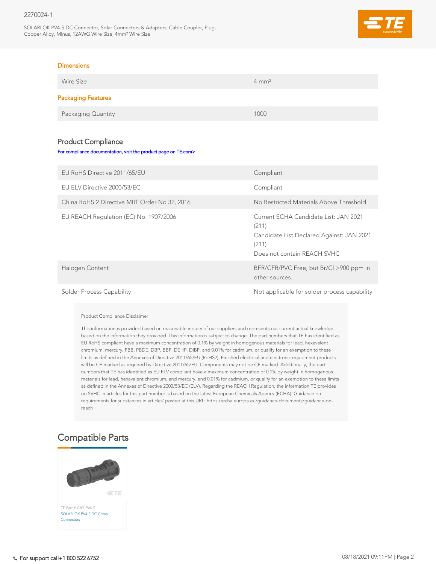## 2270024-1

SOLARLOK PV4-S DC Connector, Solar Connectors & Adapters, Cable Coupler, Plug, Copper Alloy, Minus, 12AWG Wire Size, 4mm² Wire Size



### **Dimensions**

| Wire Size                 | $4 \text{ mm}^2$ |
|---------------------------|------------------|
| <b>Packaging Features</b> |                  |
| Packaging Quantity        | 1000             |

## Product Compliance

#### [For compliance documentation, visit the product page on TE.com>](https://www.te.com/usa-en/product-2270024-1.html)

| EU RoHS Directive 2011/65/EU                  | Compliant                                                                                                                           |
|-----------------------------------------------|-------------------------------------------------------------------------------------------------------------------------------------|
| EU ELV Directive 2000/53/EC                   | Compliant                                                                                                                           |
| China RoHS 2 Directive MIIT Order No 32, 2016 | No Restricted Materials Above Threshold                                                                                             |
| EU REACH Regulation (EC) No. 1907/2006        | Current ECHA Candidate List: JAN 2021<br>(211)<br>Candidate List Declared Against: JAN 2021<br>(211)<br>Does not contain REACH SVHC |
| Halogen Content                               | BFR/CFR/PVC Free, but Br/Cl >900 ppm in<br>other sources.                                                                           |
| <b>Solder Process Capability</b>              | Not applicable for solder process capability                                                                                        |

Product Compliance Disclaimer

This information is provided based on reasonable inquiry of our suppliers and represents our current actual knowledge based on the information they provided. This information is subject to change. The part numbers that TE has identified as EU RoHS compliant have a maximum concentration of 0.1% by weight in homogenous materials for lead, hexavalent chromium, mercury, PBB, PBDE, DBP, BBP, DEHP, DIBP, and 0.01% for cadmium, or qualify for an exemption to these limits as defined in the Annexes of Directive 2011/65/EU (RoHS2). Finished electrical and electronic equipment products will be CE marked as required by Directive 2011/65/EU. Components may not be CE marked. Additionally, the part numbers that TE has identified as EU ELV compliant have a maximum concentration of 0.1% by weight in homogenous materials for lead, hexavalent chromium, and mercury, and 0.01% for cadmium, or qualify for an exemption to these limits as defined in the Annexes of Directive 2000/53/EC (ELV). Regarding the REACH Regulation, the information TE provides on SVHC in articles for this part number is based on the latest European Chemicals Agency (ECHA) 'Guidance on requirements for substances in articles' posted at this URL: https://echa.europa.eu/guidance-documents/guidance-onreach



## Compatible Parts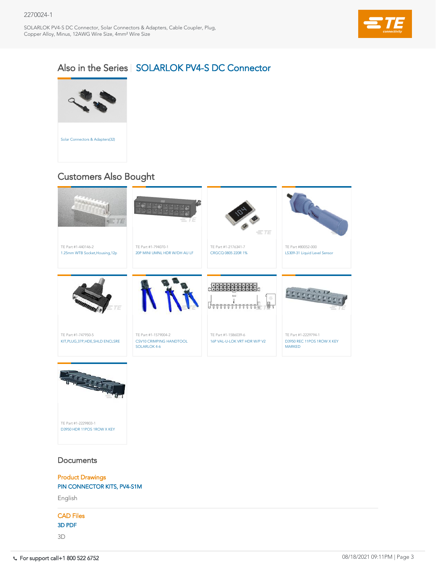## 2270024-1

SOLARLOK PV4-S DC Connector, Solar Connectors & Adapters, Cable Coupler, Plug, Copper Alloy, Minus, 12AWG Wire Size, 4mm² Wire Size



## Also in the Series | [SOLARLOK PV4-S DC Connector](https://www.te.com/usa-en/plp/X28DE.html)



## **Documents**

TE Part #1-2229794-1 [D3950 REC 11POS 1ROW X KEY](https://www.te.com/usa-en/product-1-2229794-1.html)  MARKED TE Part #1-1586039-6 [16P VAL-U-LOK VRT HDR W/P V2](https://www.te.com/usa-en/product-1-1586039-6.html) TE Part #1-1579004-2 [CSV10 CRIMPING HANDTOOL](https://www.te.com/usa-en/product-1-1579004-2.html)  SOLARLOK 4-6 TE Part #1-747950-5 [KIT,PLUG,37P,HDE,SHLD ENCLSRE](https://www.te.com/usa-en/product-1-747950-5.html)





# Customers Also Bought

Product Drawings [PIN CONNECTOR KITS, PV4-S1M](https://www.te.com/commerce/DocumentDelivery/DDEController?Action=showdoc&DocId=Customer+Drawing%7F2270024%7FB4%7Fpdf%7FEnglish%7FENG_CD_2270024_B4.pdf%7F2270024-1)

English

## CAD Files

[3D PDF](https://www.te.com/commerce/DocumentDelivery/DDEController?Action=showdoc&DocId=Customer+View+Model%7FCVM_2270024-1%7FB%7Fpdf%7F3D%7F3D_CVM_CVM_2270024-1_B.pdf%7F2270024-1)

3D